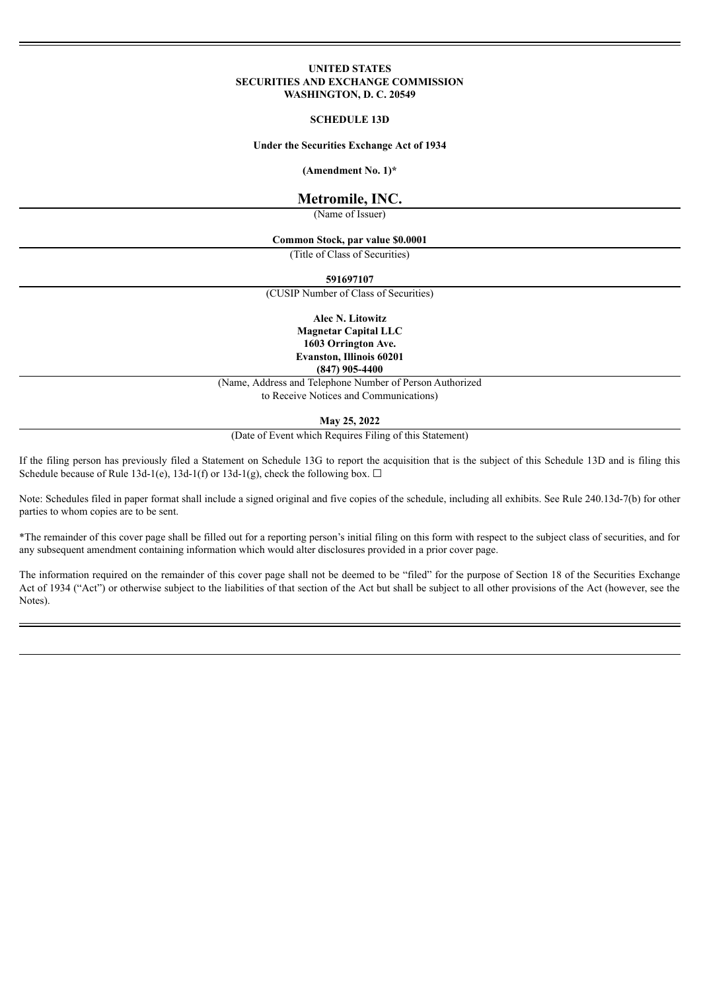### **UNITED STATES SECURITIES AND EXCHANGE COMMISSION WASHINGTON, D. C. 20549**

#### **SCHEDULE 13D**

#### **Under the Securities Exchange Act of 1934**

**(Amendment No. 1)\***

# **Metromile, INC.**

(Name of Issuer)

### **Common Stock, par value \$0.0001**

(Title of Class of Securities)

**591697107**

(CUSIP Number of Class of Securities)

**Alec N. Litowitz Magnetar Capital LLC 1603 Orrington Ave. Evanston, Illinois 60201 (847) 905-4400**

(Name, Address and Telephone Number of Person Authorized to Receive Notices and Communications)

#### **May 25, 2022**

(Date of Event which Requires Filing of this Statement)

If the filing person has previously filed a Statement on Schedule 13G to report the acquisition that is the subject of this Schedule 13D and is filing this Schedule because of Rule 13d-1(e), 13d-1(f) or 13d-1(g), check the following box.  $\Box$ 

Note: Schedules filed in paper format shall include a signed original and five copies of the schedule, including all exhibits. See Rule 240.13d-7(b) for other parties to whom copies are to be sent.

\*The remainder of this cover page shall be filled out for a reporting person's initial filing on this form with respect to the subject class of securities, and for any subsequent amendment containing information which would alter disclosures provided in a prior cover page.

The information required on the remainder of this cover page shall not be deemed to be "filed" for the purpose of Section 18 of the Securities Exchange Act of 1934 ("Act") or otherwise subject to the liabilities of that section of the Act but shall be subject to all other provisions of the Act (however, see the Notes).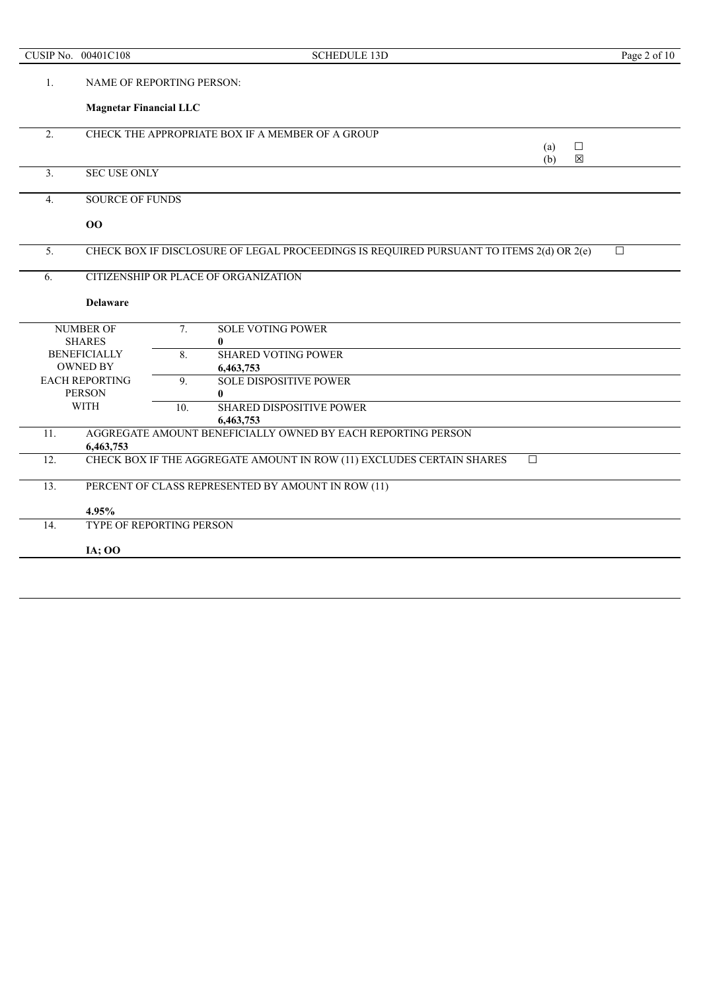|                  | CUSIP No. 00401C108                      |     | <b>SCHEDULE 13D</b>                                                                     | Page 2 of 10 |
|------------------|------------------------------------------|-----|-----------------------------------------------------------------------------------------|--------------|
| 1.               | NAME OF REPORTING PERSON:                |     |                                                                                         |              |
|                  | <b>Magnetar Financial LLC</b>            |     |                                                                                         |              |
| $\overline{2}$ . |                                          |     | CHECK THE APPROPRIATE BOX IF A MEMBER OF A GROUP                                        |              |
|                  |                                          |     | $\Box$<br>(a)                                                                           |              |
|                  |                                          |     | $\boxtimes$<br>(b)                                                                      |              |
| 3.               | <b>SEC USE ONLY</b>                      |     |                                                                                         |              |
| $\overline{4}$ . | <b>SOURCE OF FUNDS</b>                   |     |                                                                                         |              |
|                  | 00                                       |     |                                                                                         |              |
| 5.               |                                          |     | CHECK BOX IF DISCLOSURE OF LEGAL PROCEEDINGS IS REQUIRED PURSUANT TO ITEMS 2(d) OR 2(e) | $\Box$       |
| 6.               | CITIZENSHIP OR PLACE OF ORGANIZATION     |     |                                                                                         |              |
|                  |                                          |     |                                                                                         |              |
|                  | <b>Delaware</b>                          |     |                                                                                         |              |
|                  | <b>NUMBER OF</b>                         | 7.  | <b>SOLE VOTING POWER</b>                                                                |              |
|                  | <b>SHARES</b>                            |     | $\bf{0}$                                                                                |              |
|                  | <b>BENEFICIALLY</b>                      | 8.  | <b>SHARED VOTING POWER</b>                                                              |              |
|                  | <b>OWNED BY</b><br><b>EACH REPORTING</b> |     | 6,463,753<br><b>SOLE DISPOSITIVE POWER</b>                                              |              |
|                  | <b>PERSON</b>                            | 9.  | $\mathbf{0}$                                                                            |              |
|                  | <b>WITH</b>                              | 10. | <b>SHARED DISPOSITIVE POWER</b>                                                         |              |
|                  |                                          |     | 6,463,753                                                                               |              |
| 11.              |                                          |     | AGGREGATE AMOUNT BENEFICIALLY OWNED BY EACH REPORTING PERSON                            |              |
|                  | 6,463,753                                |     |                                                                                         |              |
| 12.              |                                          |     | CHECK BOX IF THE AGGREGATE AMOUNT IN ROW (11) EXCLUDES CERTAIN SHARES<br>$\Box$         |              |
| 13.              |                                          |     | PERCENT OF CLASS REPRESENTED BY AMOUNT IN ROW (11)                                      |              |
|                  | 4.95%                                    |     |                                                                                         |              |
| 14.              | <b>TYPE OF REPORTING PERSON</b>          |     |                                                                                         |              |
|                  | <b>IA</b> ; OO                           |     |                                                                                         |              |
|                  |                                          |     |                                                                                         |              |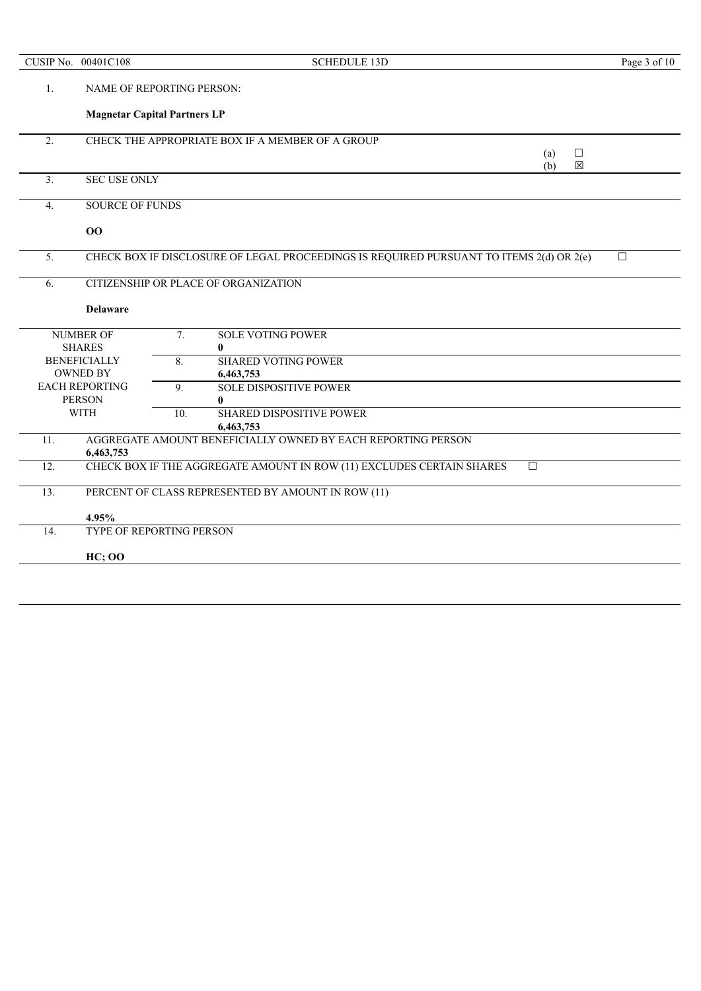| CUSIP No.        | 00401C108                            | <b>SCHEDULE 13D</b>                                                                        | Page 3 of 10 |
|------------------|--------------------------------------|--------------------------------------------------------------------------------------------|--------------|
| 1.               |                                      | NAME OF REPORTING PERSON:                                                                  |              |
|                  |                                      | <b>Magnetar Capital Partners LP</b>                                                        |              |
| 2.               |                                      | CHECK THE APPROPRIATE BOX IF A MEMBER OF A GROUP                                           |              |
|                  |                                      | $\Box$<br>(a)                                                                              |              |
| 3.               | <b>SEC USE ONLY</b>                  | 区<br>(b)                                                                                   |              |
|                  |                                      |                                                                                            |              |
| $\overline{4}$ . | <b>SOURCE OF FUNDS</b>               |                                                                                            |              |
|                  | 00                                   |                                                                                            |              |
|                  |                                      |                                                                                            |              |
| 5.               |                                      | CHECK BOX IF DISCLOSURE OF LEGAL PROCEEDINGS IS REQUIRED PURSUANT TO ITEMS 2(d) OR 2(e)    | $\Box$       |
| 6.               | CITIZENSHIP OR PLACE OF ORGANIZATION |                                                                                            |              |
|                  | <b>Delaware</b>                      |                                                                                            |              |
|                  |                                      |                                                                                            |              |
|                  | <b>NUMBER OF</b>                     | 7.<br><b>SOLE VOTING POWER</b>                                                             |              |
|                  | <b>SHARES</b>                        | 0                                                                                          |              |
|                  | <b>BENEFICIALLY</b>                  | <b>SHARED VOTING POWER</b><br>8.                                                           |              |
|                  | <b>OWNED BY</b>                      | 6,463,753                                                                                  |              |
|                  | <b>EACH REPORTING</b>                | <b>SOLE DISPOSITIVE POWER</b><br>9.                                                        |              |
|                  | <b>PERSON</b>                        | 0                                                                                          |              |
|                  | <b>WITH</b>                          | <b>SHARED DISPOSITIVE POWER</b><br>10.                                                     |              |
|                  |                                      | 6,463,753                                                                                  |              |
| 11.              |                                      | AGGREGATE AMOUNT BENEFICIALLY OWNED BY EACH REPORTING PERSON                               |              |
|                  | 6,463,753                            |                                                                                            |              |
| 12.              |                                      | CHECK BOX IF THE AGGREGATE AMOUNT IN ROW (11) EXCLUDES CERTAIN SHARES<br>$\overline{\Box}$ |              |
| 13.              |                                      | PERCENT OF CLASS REPRESENTED BY AMOUNT IN ROW (11)                                         |              |
|                  | 4.95%                                |                                                                                            |              |
| 14.              |                                      | TYPE OF REPORTING PERSON                                                                   |              |
|                  | <b>HC</b> ; OO                       |                                                                                            |              |
|                  |                                      |                                                                                            |              |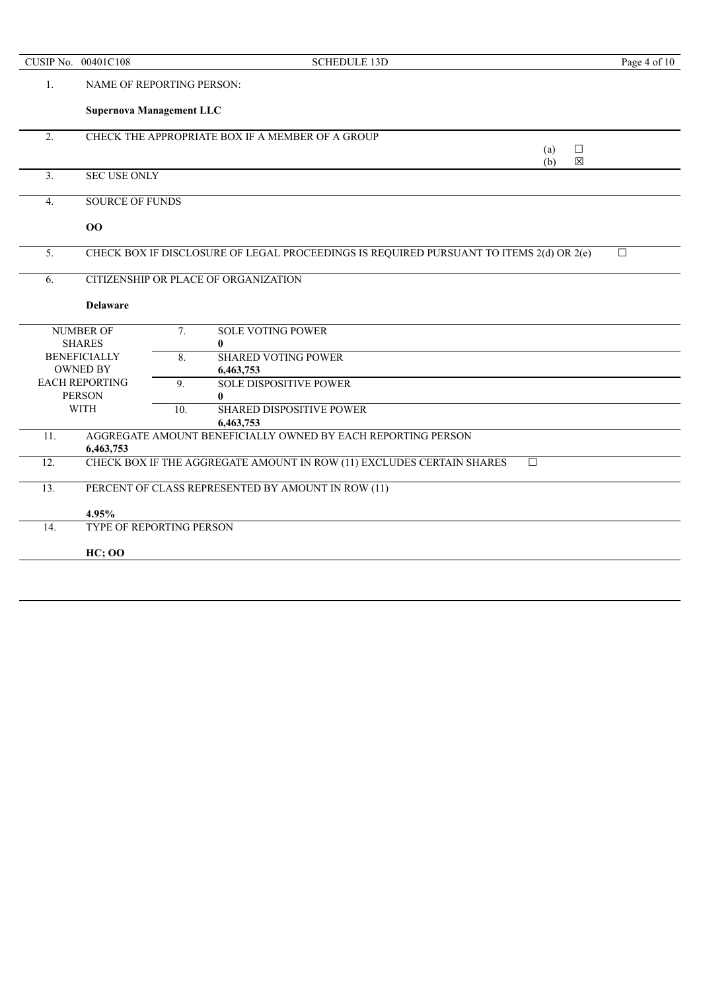|                              | CUSIP No. 00401C108                    |     | <b>SCHEDULE 13D</b>                                                                     | Page 4 of 10 |
|------------------------------|----------------------------------------|-----|-----------------------------------------------------------------------------------------|--------------|
| 1.                           | <b>NAME OF REPORTING PERSON:</b>       |     |                                                                                         |              |
|                              | <b>Supernova Management LLC</b>        |     |                                                                                         |              |
| $\overline{2}$ .             |                                        |     | CHECK THE APPROPRIATE BOX IF A MEMBER OF A GROUP                                        |              |
|                              |                                        |     | (a)<br>$\Box$                                                                           |              |
| 3 <sub>1</sub>               | <b>SEC USE ONLY</b>                    |     | 区<br>(b)                                                                                |              |
|                              |                                        |     |                                                                                         |              |
| 4.                           | <b>SOURCE OF FUNDS</b>                 |     |                                                                                         |              |
|                              | 00                                     |     |                                                                                         |              |
| 5.                           |                                        |     | CHECK BOX IF DISCLOSURE OF LEGAL PROCEEDINGS IS REQUIRED PURSUANT TO ITEMS 2(d) OR 2(e) | $\Box$       |
| 6.                           | CITIZENSHIP OR PLACE OF ORGANIZATION   |     |                                                                                         |              |
|                              | <b>Delaware</b>                        |     |                                                                                         |              |
|                              | <b>NUMBER OF</b>                       | 7.  | <b>SOLE VOTING POWER</b>                                                                |              |
|                              | <b>SHARES</b>                          |     | 0                                                                                       |              |
|                              | <b>BENEFICIALLY</b>                    |     | <b>SHARED VOTING POWER</b>                                                              |              |
| <b>OWNED BY</b><br>6,463,753 |                                        |     |                                                                                         |              |
|                              | <b>EACH REPORTING</b><br><b>PERSON</b> | 9.  | <b>SOLE DISPOSITIVE POWER</b><br>0                                                      |              |
|                              | <b>WITH</b>                            | 10. | <b>SHARED DISPOSITIVE POWER</b>                                                         |              |
|                              |                                        |     | 6,463,753                                                                               |              |
| 11.                          |                                        |     | AGGREGATE AMOUNT BENEFICIALLY OWNED BY EACH REPORTING PERSON                            |              |
| 12.                          | 6,463,753                              |     | CHECK BOX IF THE AGGREGATE AMOUNT IN ROW (11) EXCLUDES CERTAIN SHARES<br>$\Box$         |              |
|                              |                                        |     |                                                                                         |              |
| 13.                          |                                        |     | PERCENT OF CLASS REPRESENTED BY AMOUNT IN ROW (11)                                      |              |
|                              | 4.95%                                  |     |                                                                                         |              |
| 14.                          | TYPE OF REPORTING PERSON               |     |                                                                                         |              |
|                              | <b>HC</b> ; OO                         |     |                                                                                         |              |
|                              |                                        |     |                                                                                         |              |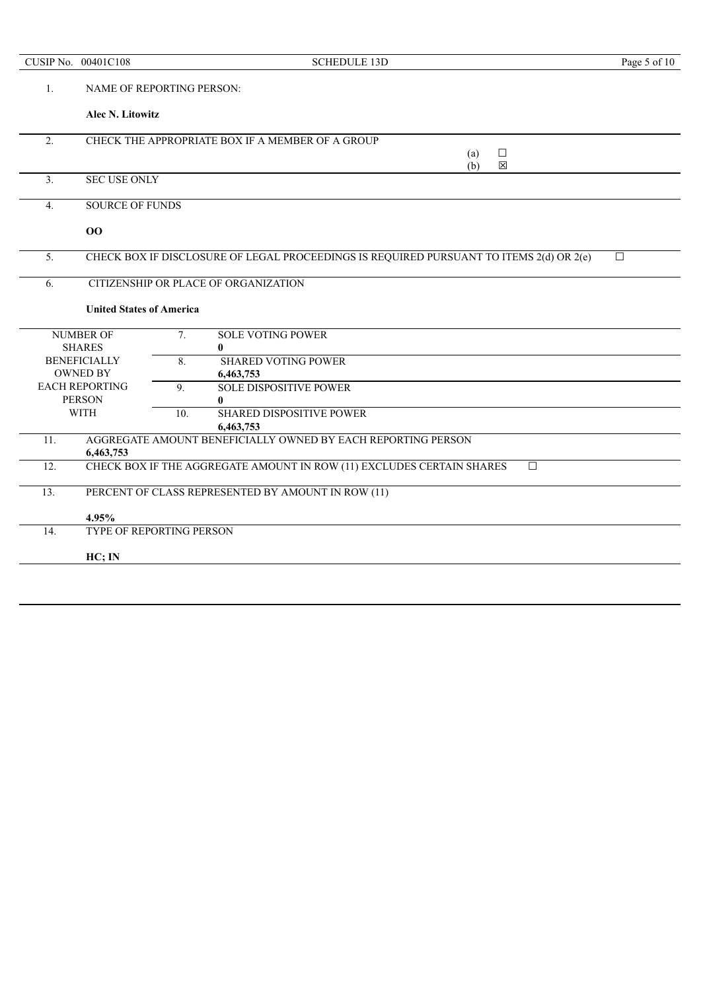|                  | CUSIP No. 00401C108             | <b>SCHEDULE 13D</b>                                                                     | Page 5 of 10 |
|------------------|---------------------------------|-----------------------------------------------------------------------------------------|--------------|
| 1.               |                                 | <b>NAME OF REPORTING PERSON:</b>                                                        |              |
|                  | Alec N. Litowitz                |                                                                                         |              |
| $\overline{2}$ . |                                 | CHECK THE APPROPRIATE BOX IF A MEMBER OF A GROUP                                        |              |
|                  |                                 | $\Box$<br>(a)                                                                           |              |
| 3.               | <b>SEC USE ONLY</b>             | (b)<br>区                                                                                |              |
|                  |                                 |                                                                                         |              |
| $\overline{4}$ . | <b>SOURCE OF FUNDS</b>          |                                                                                         |              |
|                  | 00                              |                                                                                         |              |
| 5.               |                                 | CHECK BOX IF DISCLOSURE OF LEGAL PROCEEDINGS IS REQUIRED PURSUANT TO ITEMS 2(d) OR 2(e) | $\Box$       |
| 6.               |                                 | CITIZENSHIP OR PLACE OF ORGANIZATION                                                    |              |
|                  |                                 |                                                                                         |              |
|                  | <b>United States of America</b> |                                                                                         |              |
|                  | <b>NUMBER OF</b>                | $\overline{7}$ .<br><b>SOLE VOTING POWER</b>                                            |              |
|                  | <b>SHARES</b>                   | $\bf{0}$                                                                                |              |
|                  | <b>BENEFICIALLY</b>             | 8.<br><b>SHARED VOTING POWER</b>                                                        |              |
|                  | <b>OWNED BY</b>                 | 6,463,753                                                                               |              |
|                  | <b>EACH REPORTING</b>           | <b>SOLE DISPOSITIVE POWER</b><br>$\overline{9}$ .                                       |              |
|                  | <b>PERSON</b>                   | $\mathbf{0}$                                                                            |              |
|                  | <b>WITH</b>                     | <b>SHARED DISPOSITIVE POWER</b><br>10.                                                  |              |
|                  |                                 | 6,463,753                                                                               |              |
| 11.              | 6,463,753                       | AGGREGATE AMOUNT BENEFICIALLY OWNED BY EACH REPORTING PERSON                            |              |
| 12.              |                                 | CHECK BOX IF THE AGGREGATE AMOUNT IN ROW (11) EXCLUDES CERTAIN SHARES<br>$\Box$         |              |
|                  |                                 |                                                                                         |              |
| 13.              |                                 | PERCENT OF CLASS REPRESENTED BY AMOUNT IN ROW (11)                                      |              |
|                  | 4.95%                           |                                                                                         |              |
| 14.              |                                 | TYPE OF REPORTING PERSON                                                                |              |
|                  | HC; IN                          |                                                                                         |              |
|                  |                                 |                                                                                         |              |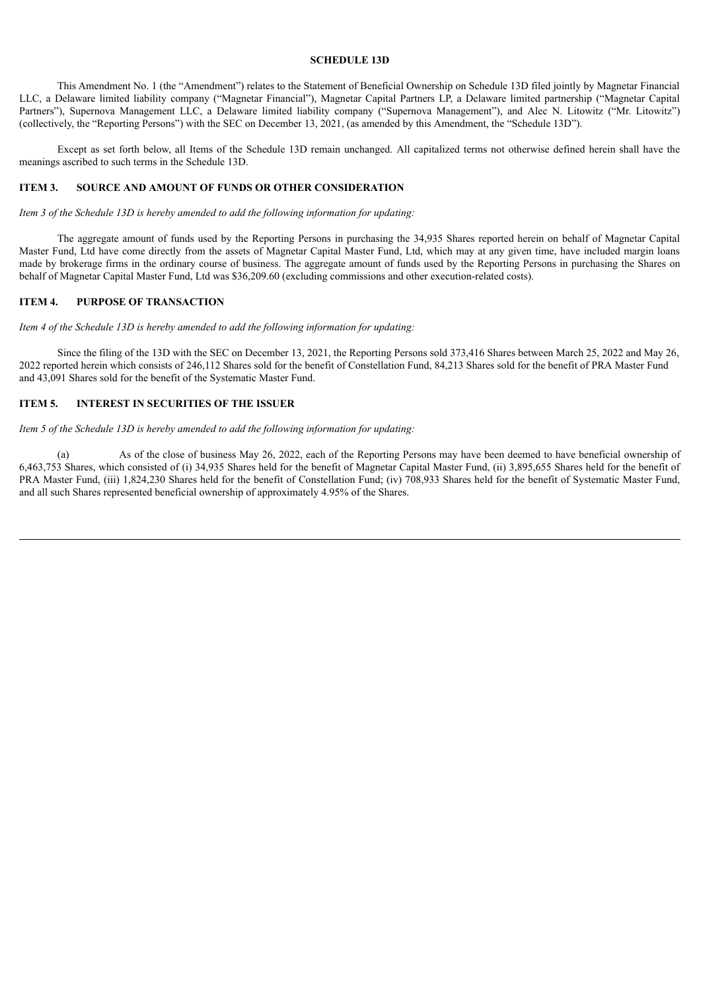## **SCHEDULE 13D**

This Amendment No. 1 (the "Amendment") relates to the Statement of Beneficial Ownership on Schedule 13D filed jointly by Magnetar Financial LLC, a Delaware limited liability company ("Magnetar Financial"), Magnetar Capital Partners LP, a Delaware limited partnership ("Magnetar Capital Partners"), Supernova Management LLC, a Delaware limited liability company ("Supernova Management"), and Alec N. Litowitz ("Mr. Litowitz") (collectively, the "Reporting Persons") with the SEC on December 13, 2021, (as amended by this Amendment, the "Schedule 13D").

Except as set forth below, all Items of the Schedule 13D remain unchanged. All capitalized terms not otherwise defined herein shall have the meanings ascribed to such terms in the Schedule 13D.

# **ITEM 3. SOURCE AND AMOUNT OF FUNDS OR OTHER CONSIDERATION**

*Item 3 of the Schedule 13D is hereby amended to add the following information for updating:*

The aggregate amount of funds used by the Reporting Persons in purchasing the 34,935 Shares reported herein on behalf of Magnetar Capital Master Fund, Ltd have come directly from the assets of Magnetar Capital Master Fund, Ltd, which may at any given time, have included margin loans made by brokerage firms in the ordinary course of business. The aggregate amount of funds used by the Reporting Persons in purchasing the Shares on behalf of Magnetar Capital Master Fund, Ltd was \$36,209.60 (excluding commissions and other execution-related costs).

# **ITEM 4. PURPOSE OF TRANSACTION**

*Item 4 of the Schedule 13D is hereby amended to add the following information for updating:*

Since the filing of the 13D with the SEC on December 13, 2021, the Reporting Persons sold 373,416 Shares between March 25, 2022 and May 26, 2022 reported herein which consists of 246,112 Shares sold for the benefit of Constellation Fund, 84,213 Shares sold for the benefit of PRA Master Fund and 43,091 Shares sold for the benefit of the Systematic Master Fund.

#### **ITEM 5. INTEREST IN SECURITIES OF THE ISSUER**

*Item 5 of the Schedule 13D is hereby amended to add the following information for updating:*

(a) As of the close of business May 26, 2022, each of the Reporting Persons may have been deemed to have beneficial ownership of 6,463,753 Shares, which consisted of (i) 34,935 Shares held for the benefit of Magnetar Capital Master Fund, (ii) 3,895,655 Shares held for the benefit of PRA Master Fund, (iii) 1,824,230 Shares held for the benefit of Constellation Fund; (iv) 708,933 Shares held for the benefit of Systematic Master Fund, and all such Shares represented beneficial ownership of approximately 4.95% of the Shares.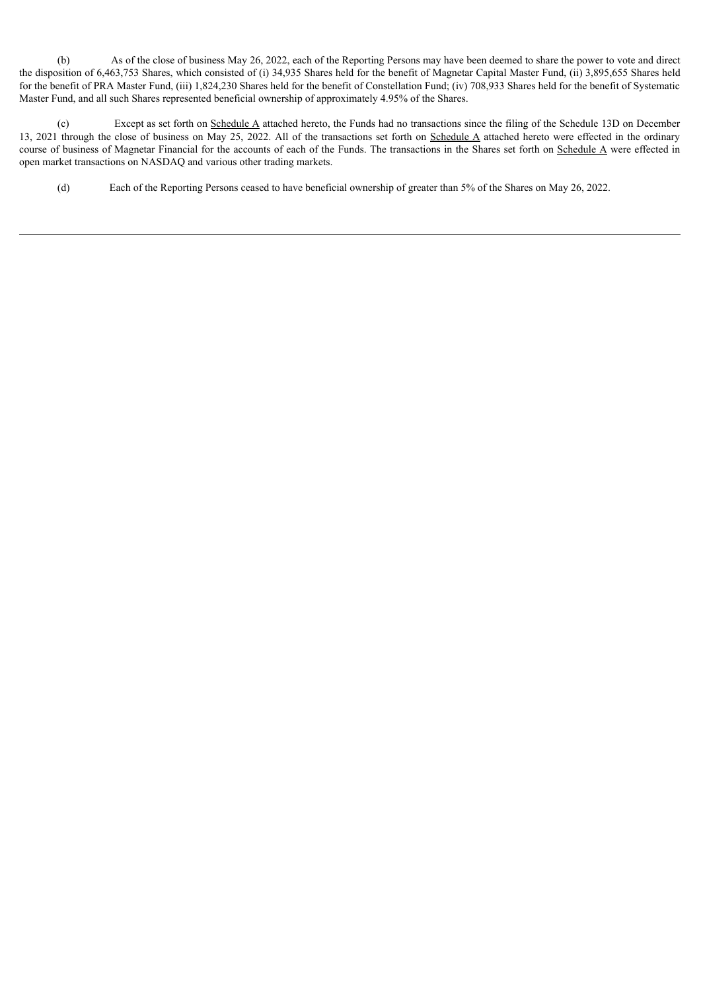(b) As of the close of business May 26, 2022, each of the Reporting Persons may have been deemed to share the power to vote and direct the disposition of 6,463,753 Shares, which consisted of (i) 34,935 Shares held for the benefit of Magnetar Capital Master Fund, (ii) 3,895,655 Shares held for the benefit of PRA Master Fund, (iii) 1,824,230 Shares held for the benefit of Constellation Fund; (iv) 708,933 Shares held for the benefit of Systematic Master Fund, and all such Shares represented beneficial ownership of approximately 4.95% of the Shares.

(c) Except as set forth on Schedule A attached hereto, the Funds had no transactions since the filing of the Schedule 13D on December 13, 2021 through the close of business on May 25, 2022. All of the transactions set forth on Schedule A attached hereto were effected in the ordinary course of business of Magnetar Financial for the accounts of each of the Funds. The transactions in the Shares set forth on Schedule A were effected in open market transactions on NASDAQ and various other trading markets.

(d) Each of the Reporting Persons ceased to have beneficial ownership of greater than 5% of the Shares on May 26, 2022.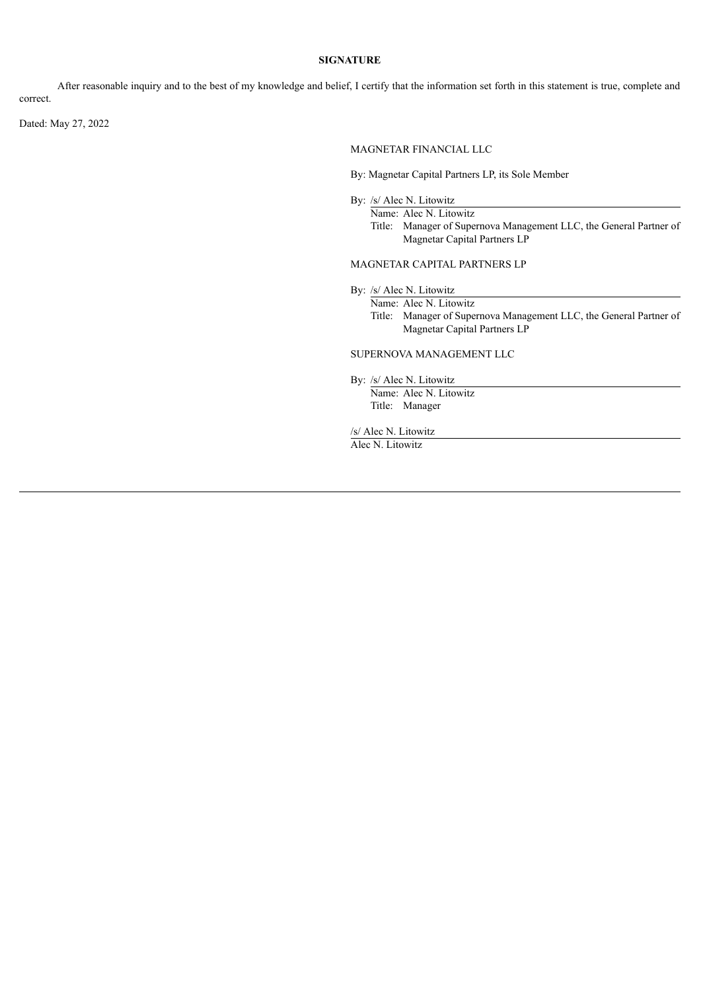## **SIGNATURE**

After reasonable inquiry and to the best of my knowledge and belief, I certify that the information set forth in this statement is true, complete and correct.

Dated: May 27, 2022

MAGNETAR FINANCIAL LLC

By: Magnetar Capital Partners LP, its Sole Member

By: /s/ Alec N. Litowitz

Name: Alec N. Litowitz

Title: Manager of Supernova Management LLC, the General Partner of Magnetar Capital Partners LP

### MAGNETAR CAPITAL PARTNERS LP

By: /s/ Alec N. Litowitz

Name: Alec N. Litowitz Title: Manager of Supernova Management LLC, the General Partner of Magnetar Capital Partners LP

### SUPERNOVA MANAGEMENT LLC

By: /s/ Alec N. Litowitz

Name: Alec N. Litowitz Title: Manager

/s/ Alec N. Litowitz

Alec N. Litowitz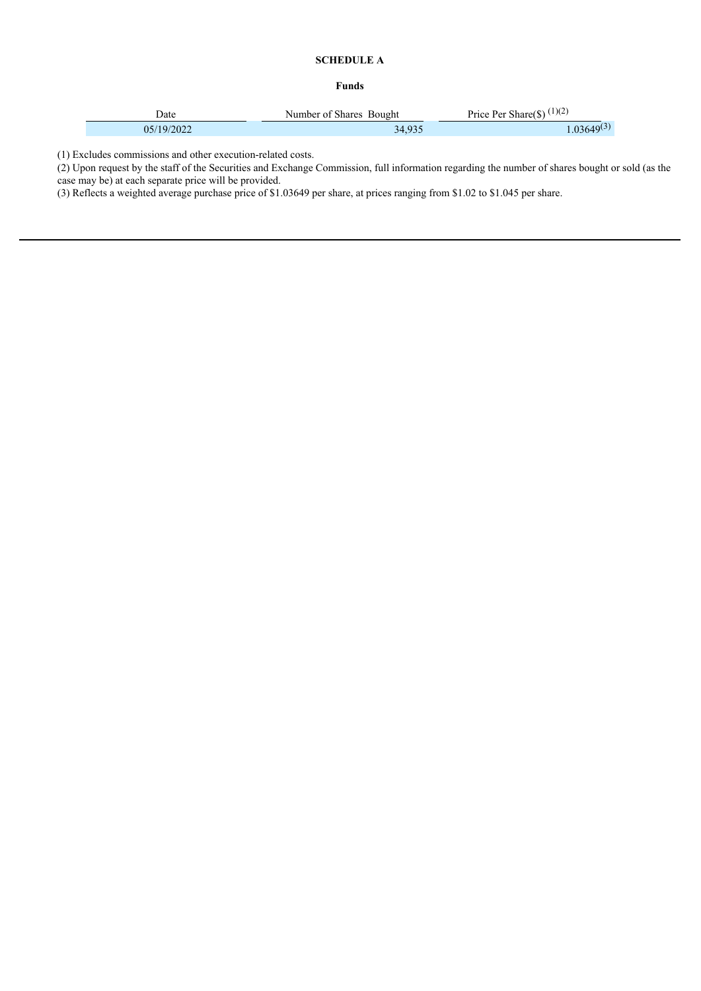# **SCHEDULE A**

# **Funds**

| Jate       | Number of Shares Bought | Price Per Share(\$) $(1)(2)$ |
|------------|-------------------------|------------------------------|
| 05/19/2022 | 34.935                  | $.03649^{(3)}$               |

(1) Excludes commissions and other execution-related costs.

(2) Upon request by the staff of the Securities and Exchange Commission, full information regarding the number of shares bought or sold (as the case may be) at each separate price will be provided.

(3) Reflects a weighted average purchase price of \$1.03649 per share, at prices ranging from \$1.02 to \$1.045 per share.